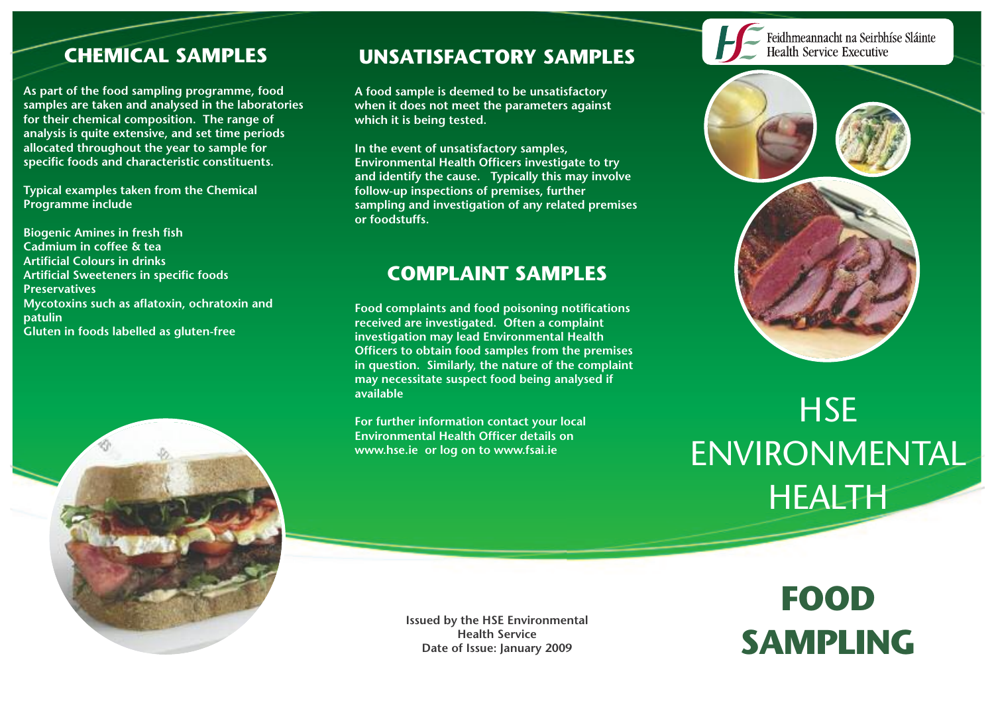### **CHEMICAL SAMPLES**

**As part of the food sampling programme, food samples are taken and analysed in the laboratories for their chemical composition. The range of analysis is quite extensive, and set time periods allocated throughout the year to sample for specific foods and characteristic constituents.**

**Typical examples taken from the Chemical Programme include**

**Biogenic Amines in fresh fish Cadmium in coffee & tea Artificial Colours in drinks Artificial Sweeteners in specific foods Preservatives Mycotoxins such as aflatoxin, ochratoxin and patulin Gluten in foods labelled as gluten-free**



### **UNSATISFACTORY SAMPLES**

**A food sample is deemed to be unsatisfactory when it does not meet the parameters against which it is being tested.**

**In the event of unsatisfactory samples, Environmental Health Officers investigate to try and identify the cause. Typically this may involve follow-up inspections of premises, further sampling and investigation of any related premises or foodstuffs.**

### **COMPLAINT SAMPLES**

**Food complaints and food poisoning notifications received are investigated. Often a complaint investigation may lead Environmental Health Officers to obtain food samples from the premises in question. Similarly, the nature of the complaint may necessitate suspect food being analysed if available**

**For further information contact your local Environmental Health Officer details on www.hse.ie or log on to www.fsai.ie**



# **HSE** ENVIRONMENTAL HEALTH

**Issued by the HSE Environmental Health Service Date of Issue: January 2009**

# **FOOD SAMPLING**